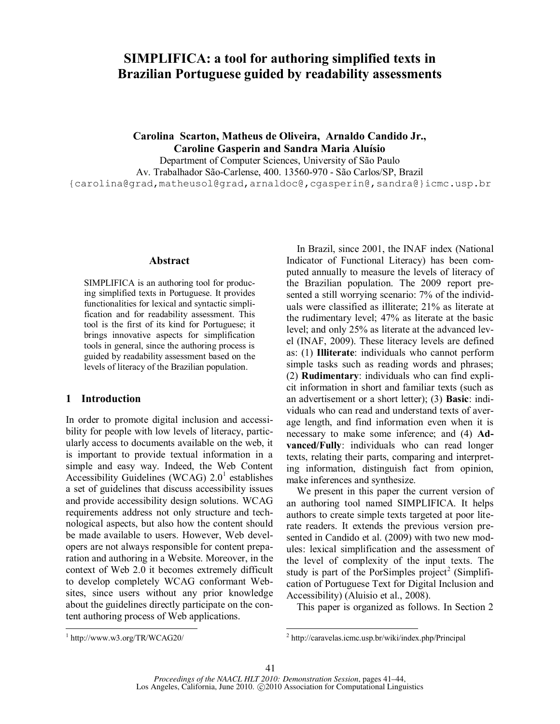# **SIMPLIFICA: a tool for authoring simplified texts in Brazilian Portuguese guided by readability assessments**

**Carolina Scarton, Matheus de Oliveira, Arnaldo Candido Jr., Caroline Gasperin and Sandra Maria Aluísio** 

Department of Computer Sciences, University of São Paulo Av. Trabalhador São-Carlense, 400. 13560-970 - São Carlos/SP, Brazil {carolina@grad,matheusol@grad,arnaldoc@,cgasperin@,sandra@}icmc.usp.br

#### **Abstract**

SIMPLIFICA is an authoring tool for producing simplified texts in Portuguese. It provides functionalities for lexical and syntactic simplification and for readability assessment. This tool is the first of its kind for Portuguese; it brings innovative aspects for simplification tools in general, since the authoring process is guided by readability assessment based on the levels of literacy of the Brazilian population.

# **1 Introduction**

In order to promote digital inclusion and accessibility for people with low levels of literacy, particularly access to documents available on the web, it is important to provide textual information in a simple and easy way. Indeed, the Web Content Accessibility Guidelines (WCAG)  $2.0<sup>1</sup>$  establishes a set of guidelines that discuss accessibility issues and provide accessibility design solutions. WCAG requirements address not only structure and technological aspects, but also how the content should be made available to users. However, Web developers are not always responsible for content preparation and authoring in a Website. Moreover, in the context of Web 2.0 it becomes extremely difficult to develop completely WCAG conformant Websites, since users without any prior knowledge about the guidelines directly participate on the content authoring process of Web applications.

In Brazil, since 2001, the INAF index (National Indicator of Functional Literacy) has been computed annually to measure the levels of literacy of the Brazilian population. The 2009 report presented a still worrying scenario: 7% of the individuals were classified as illiterate; 21% as literate at the rudimentary level; 47% as literate at the basic level; and only 25% as literate at the advanced level (INAF, 2009). These literacy levels are defined as: (1) **Illiterate**: individuals who cannot perform simple tasks such as reading words and phrases; (2) **Rudimentary**: individuals who can find explicit information in short and familiar texts (such as an advertisement or a short letter); (3) **Basic**: individuals who can read and understand texts of average length, and find information even when it is necessary to make some inference; and (4) **Advanced/Fully**: individuals who can read longer texts, relating their parts, comparing and interpreting information, distinguish fact from opinion, make inferences and synthesize.

We present in this paper the current version of an authoring tool named SIMPLIFICA. It helps authors to create simple texts targeted at poor literate readers. It extends the previous version presented in Candido et al. (2009) with two new modules: lexical simplification and the assessment of the level of complexity of the input texts. The study is part of the PorSimples  $project^2$  (Simplification of Portuguese Text for Digital Inclusion and Accessibility) (Aluisio et al., 2008).

This paper is organized as follows. In Section 2

l

 1 http://www.w3.org/TR/WCAG20/

<sup>2</sup> http://caravelas.icmc.usp.br/wiki/index.php/Principal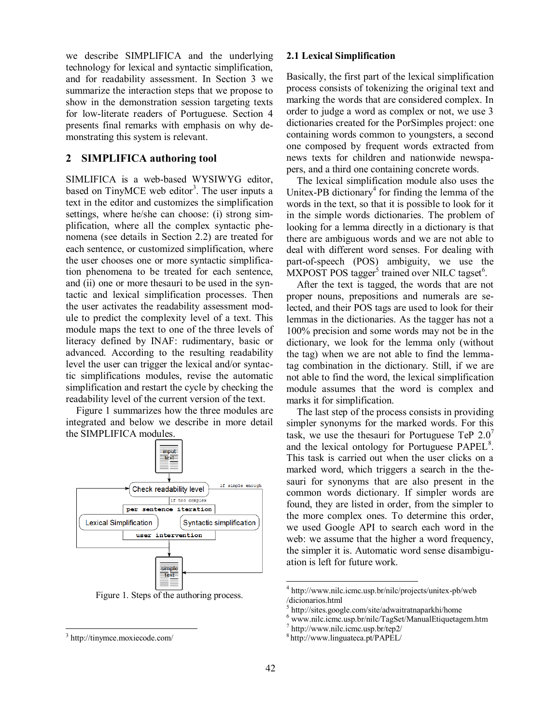we describe SIMPLIFICA and the underlying technology for lexical and syntactic simplification, and for readability assessment. In Section 3 we summarize the interaction steps that we propose to show in the demonstration session targeting texts for low-literate readers of Portuguese. Section 4 presents final remarks with emphasis on why demonstrating this system is relevant.

# **2 SIMPLIFICA authoring tool**

SIMLIFICA is a web-based WYSIWYG editor, based on TinyMCE web editor<sup>3</sup>. The user inputs a text in the editor and customizes the simplification settings, where he/she can choose: (i) strong simplification, where all the complex syntactic phenomena (see details in Section 2.2) are treated for each sentence, or customized simplification, where the user chooses one or more syntactic simplification phenomena to be treated for each sentence, and (ii) one or more thesauri to be used in the syntactic and lexical simplification processes. Then the user activates the readability assessment module to predict the complexity level of a text. This module maps the text to one of the three levels of literacy defined by INAF: rudimentary, basic or advanced. According to the resulting readability level the user can trigger the lexical and/or syntactic simplifications modules, revise the automatic simplification and restart the cycle by checking the readability level of the current version of the text.

Figure 1 summarizes how the three modules are integrated and below we describe in more detail the SIMPLIFICA modules.



Figure 1. Steps of the authoring process.

 $\overline{a}$ 

#### **2.1 Lexical Simplification**

Basically, the first part of the lexical simplification process consists of tokenizing the original text and marking the words that are considered complex. In order to judge a word as complex or not, we use 3 dictionaries created for the PorSimples project: one containing words common to youngsters, a second one composed by frequent words extracted from news texts for children and nationwide newspapers, and a third one containing concrete words.

The lexical simplification module also uses the Unitex-PB dictionary<sup>4</sup> for finding the lemma of the words in the text, so that it is possible to look for it in the simple words dictionaries. The problem of looking for a lemma directly in a dictionary is that there are ambiguous words and we are not able to deal with different word senses. For dealing with part-of-speech (POS) ambiguity, we use the  $\overline{\text{MXPOST}}$  POS tagger<sup>5</sup> trained over NILC tagset<sup>6</sup>.

After the text is tagged, the words that are not proper nouns, prepositions and numerals are selected, and their POS tags are used to look for their lemmas in the dictionaries. As the tagger has not a 100% precision and some words may not be in the dictionary, we look for the lemma only (without the tag) when we are not able to find the lemmatag combination in the dictionary. Still, if we are not able to find the word, the lexical simplification module assumes that the word is complex and marks it for simplification.

The last step of the process consists in providing simpler synonyms for the marked words. For this task, we use the thesauri for Portuguese TeP  $2.0<sup>7</sup>$ and the lexical ontology for Portuguese PAPEL<sup>8</sup>. This task is carried out when the user clicks on a marked word, which triggers a search in the thesauri for synonyms that are also present in the common words dictionary. If simpler words are found, they are listed in order, from the simpler to the more complex ones. To determine this order, we used Google API to search each word in the web: we assume that the higher a word frequency, the simpler it is. Automatic word sense disambiguation is left for future work.

l

<sup>3</sup> http://tinymce.moxiecode.com/

<sup>4</sup> http://www.nilc.icmc.usp.br/nilc/projects/unitex-pb/web /dicionarios.html

<sup>5</sup> http://sites.google.com/site/adwaitratnaparkhi/home

<sup>6</sup> www.nilc.icmc.usp.br/nilc/TagSet/ManualEtiquetagem.htm

<sup>7</sup> http://www.nilc.icmc.usp.br/tep2/

<sup>8</sup> http://www.linguateca.pt/PAPEL/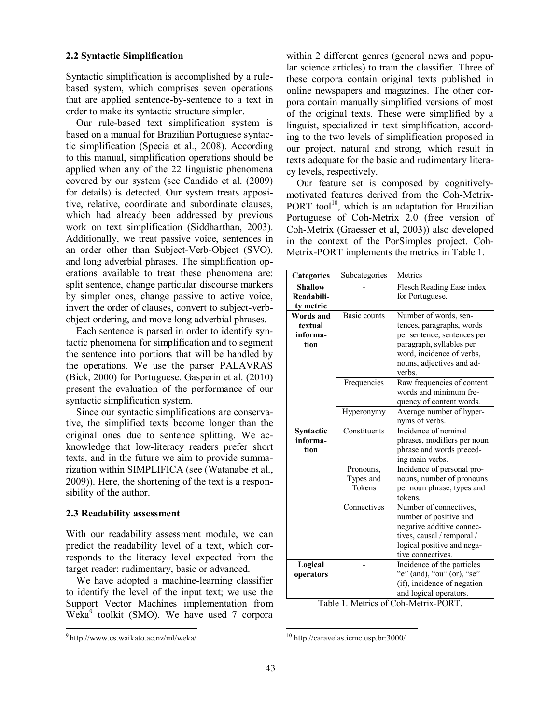## **2.2 Syntactic Simplification**

Syntactic simplification is accomplished by a rulebased system, which comprises seven operations that are applied sentence-by-sentence to a text in order to make its syntactic structure simpler.

Our rule-based text simplification system is based on a manual for Brazilian Portuguese syntactic simplification (Specia et al., 2008). According to this manual, simplification operations should be applied when any of the 22 linguistic phenomena covered by our system (see Candido et al. (2009) for details) is detected. Our system treats appositive, relative, coordinate and subordinate clauses, which had already been addressed by previous work on text simplification (Siddharthan, 2003). Additionally, we treat passive voice, sentences in an order other than Subject-Verb-Object (SVO), and long adverbial phrases. The simplification operations available to treat these phenomena are: split sentence, change particular discourse markers by simpler ones, change passive to active voice, invert the order of clauses, convert to subject-verbobject ordering, and move long adverbial phrases.

Each sentence is parsed in order to identify syntactic phenomena for simplification and to segment the sentence into portions that will be handled by the operations. We use the parser PALAVRAS (Bick, 2000) for Portuguese. Gasperin et al. (2010) present the evaluation of the performance of our syntactic simplification system.

Since our syntactic simplifications are conservative, the simplified texts become longer than the original ones due to sentence splitting. We acknowledge that low-literacy readers prefer short texts, and in the future we aim to provide summarization within SIMPLIFICA (see (Watanabe et al., 2009)). Here, the shortening of the text is a responsibility of the author.

# **2.3 Readability assessment**

With our readability assessment module, we can predict the readability level of a text, which corresponds to the literacy level expected from the target reader: rudimentary, basic or advanced.

We have adopted a machine-learning classifier to identify the level of the input text; we use the Support Vector Machines implementation from Weka<sup>9</sup> toolkit (SMO). We have used 7 corpora

 $\overline{a}$ 

within 2 different genres (general news and popular science articles) to train the classifier. Three of these corpora contain original texts published in online newspapers and magazines. The other corpora contain manually simplified versions of most of the original texts. These were simplified by a linguist, specialized in text simplification, according to the two levels of simplification proposed in our project, natural and strong, which result in texts adequate for the basic and rudimentary literacy levels, respectively.

Our feature set is composed by cognitivelymotivated features derived from the Coh-Metrix-PORT tool<sup>10</sup>, which is an adaptation for Brazilian Portuguese of Coh-Metrix 2.0 (free version of Coh-Metrix (Graesser et al, 2003)) also developed in the context of the PorSimples project. Coh-Metrix-PORT implements the metrics in Table 1.

| <b>Categories</b>                               | Subcategories                    | Metrics                                                                                                                                                                           |
|-------------------------------------------------|----------------------------------|-----------------------------------------------------------------------------------------------------------------------------------------------------------------------------------|
| <b>Shallow</b><br>Readabili-<br>ty metric       |                                  | Flesch Reading Ease index<br>for Portuguese.                                                                                                                                      |
| <b>Words and</b><br>textual<br>informa-<br>tion | Basic counts                     | Number of words, sen-<br>tences, paragraphs, words<br>per sentence, sentences per<br>paragraph, syllables per<br>word, incidence of verbs,<br>nouns, adjectives and ad-<br>verbs. |
|                                                 | Frequencies                      | Raw frequencies of content<br>words and minimum fre-<br>quency of content words.                                                                                                  |
|                                                 | Hyperonymy                       | Average number of hyper-<br>nyms of verbs.                                                                                                                                        |
| Syntactic<br>informa-<br>tion                   | Constituents                     | Incidence of nominal<br>phrases, modifiers per noun<br>phrase and words preced-<br>ing main verbs.                                                                                |
|                                                 | Pronouns,<br>Types and<br>Tokens | Incidence of personal pro-<br>nouns, number of pronouns<br>per noun phrase, types and<br>tokens.                                                                                  |
|                                                 | Connectives                      | Number of connectives,<br>number of positive and<br>negative additive connec-<br>tives, causal / temporal /<br>logical positive and nega-<br>tive connectives.                    |
| Logical<br>operators                            |                                  | Incidence of the particles<br>"e" (and), "ou" (or), "se"<br>(if), incidence of negation<br>and logical operators.<br>$T_0 h l_0 1$ Motrice of Cab Motrix DODT                     |

Table 1. Metrics of Coh-Metrix-PORT.

l

<sup>9</sup> http://www.cs.waikato.ac.nz/ml/weka/

<sup>10</sup> http://caravelas.icmc.usp.br:3000/